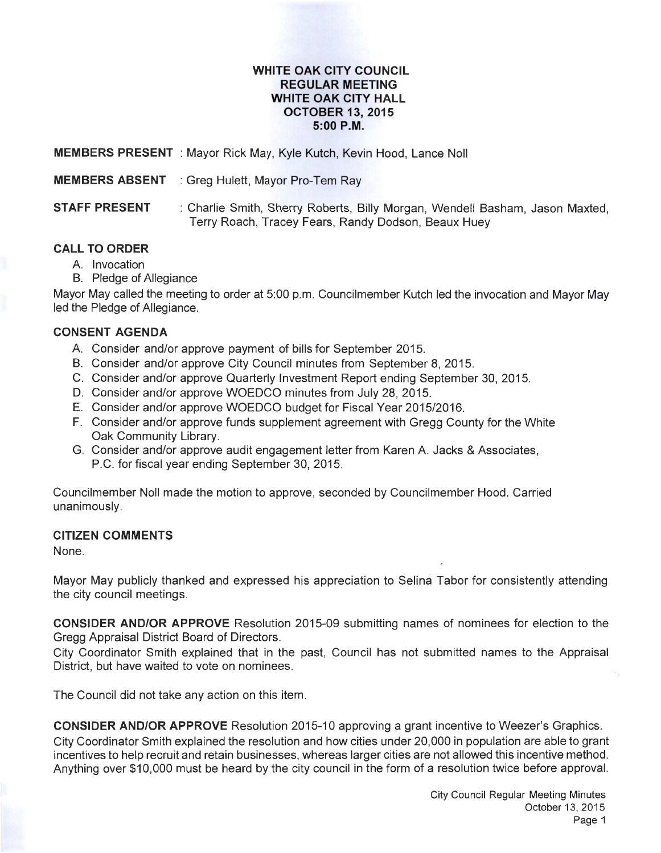#### **WHITE OAK CITY COUNCIL REGULAR MEETING WHITE OAK CITY HALL OCTOBER 13, 2015 5:00P.M.**

**MEMBERS PRESENT** : Mayor Rick May, Kyle Kutch, Kevin Hood, Lance Noll

**MEMBERS ABSENT** : Greg Hulett, Mayor Pro-Tem Ray

**STAFF PRESENT** : Charlie Smith, Sherry Roberts, Billy Morgan, Wendell Basham, Jason Maxted, Terry Roach, Tracey Fears, Randy Dodson, Beaux Huey

# **CALL TO ORDER**

- A. Invocation
- B. Pledge of Allegiance

Mayor May called the meeting to order at 5:00 p.m. Councilmember Kutch led the invocation and Mayor May led the Pledge of Allegiance.

## **CONSENT AGENDA**

- A. Consider and/or approve payment of bills for September 2015.
- B. Consider and/or approve City Council minutes from September 8, 2015.
- C. Consider and/or approve Quarterly Investment Report ending September 30, 2015.
- D. Consider and/or approve WOEDCO minutes from July 28, 2015.
- E. Consider and/or approve WOEDCO budget for Fiscal Year 2015/2016.
- F. Consider and/or approve funds supplement agreement with Gregg County for the White Oak Community Library.
- G. Consider and/or approve audit engagement letter from Karen A Jacks & Associates, P.C. for fiscal year ending September 30, 2015.

Councilmember Noll made the motion to approve, seconded by Councilmember Hood. Carried unanimously.

### **CITIZEN COMMENTS**

None.

Mayor May publicly thanked and expressed his appreciation to Selina Tabor for consistently attending the city council meetings.

**CONSIDER AND/OR APPROVE** Resolution 2015-09 submitting names of nominees for election to the Gregg Appraisal District Board of Directors.

City Coordinator Smith explained that in the past, Council has not submitted names to the Appraisal District, but have waited to vote on nominees.

The Council did not take any action on this item.

**CONSIDER AND/OR APPROVE** Resolution 2015-10 approving a grant incentive to Weezer's Graphics. City Coordinator Smith explained the resolution and how cities under 20,000 in population are able to grant incentives to help recruit and retain businesses, whereas larger cities are not allowed this incentive method. Anything over \$10,000 must be heard by the city council in the form of a resolution twice before approval.